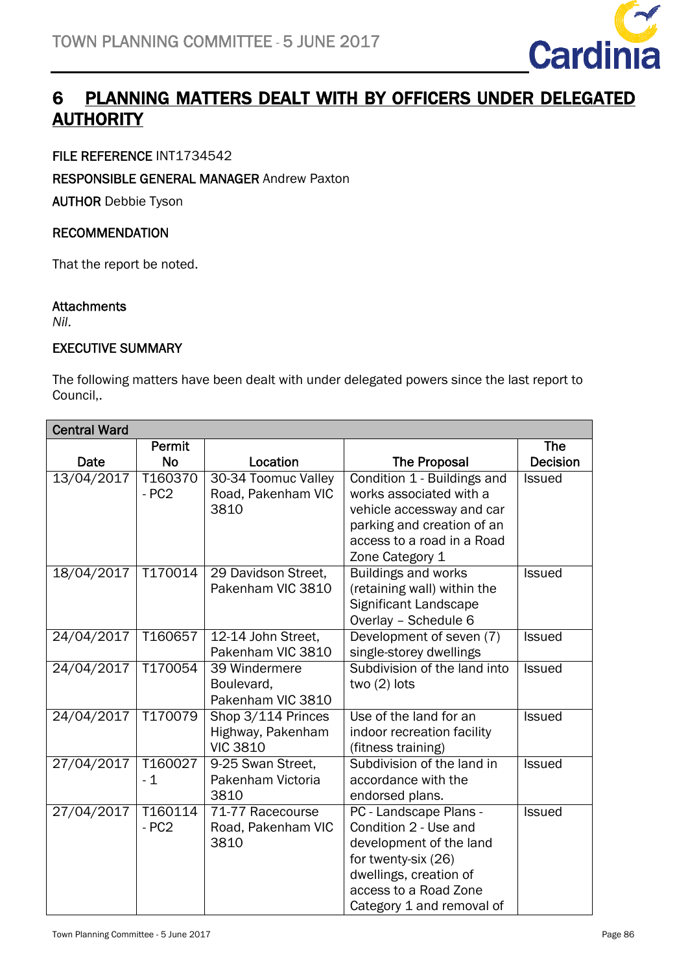

## 6 PLANNING MATTERS DEALT WITH BY OFFICERS UNDER DELEGATED AUTHORITY <u>-</u>

### FILE REFERENCE INT1734542

#### RESPONSIBLE GENERAL MANAGER Andrew Paxton

AUTHOR Debbie Tyson

#### RECOMMENDATION

That the report be noted.

#### **Attachments**

*Nil*.

#### EXECUTIVE SUMMARY

The following matters have been dealt with under delegated powers since the last report to Council,.

| <b>Central Ward</b> |           |                     |                              |                 |
|---------------------|-----------|---------------------|------------------------------|-----------------|
|                     | Permit    |                     |                              | <b>The</b>      |
| Date                | <b>No</b> | Location            | <b>The Proposal</b>          | <b>Decision</b> |
| 13/04/2017          | T160370   | 30-34 Toomuc Valley | Condition 1 - Buildings and  | <b>Issued</b>   |
|                     | $-PC2$    | Road, Pakenham VIC  | works associated with a      |                 |
|                     |           | 3810                | vehicle accessway and car    |                 |
|                     |           |                     | parking and creation of an   |                 |
|                     |           |                     | access to a road in a Road   |                 |
|                     |           |                     | Zone Category 1              |                 |
| 18/04/2017          | T170014   | 29 Davidson Street, | <b>Buildings and works</b>   | <b>Issued</b>   |
|                     |           | Pakenham VIC 3810   | (retaining wall) within the  |                 |
|                     |           |                     | Significant Landscape        |                 |
|                     |           |                     | Overlay - Schedule 6         |                 |
| 24/04/2017          | T160657   | 12-14 John Street,  | Development of seven (7)     | <b>Issued</b>   |
|                     |           | Pakenham VIC 3810   | single-storey dwellings      |                 |
| 24/04/2017          | T170054   | 39 Windermere       | Subdivision of the land into | <b>Issued</b>   |
|                     |           | Boulevard,          | two $(2)$ lots               |                 |
|                     |           | Pakenham VIC 3810   |                              |                 |
| 24/04/2017          | T170079   | Shop 3/114 Princes  | Use of the land for an       | Issued          |
|                     |           | Highway, Pakenham   | indoor recreation facility   |                 |
|                     |           | <b>VIC 3810</b>     | (fitness training)           |                 |
| 27/04/2017          | T160027   | 9-25 Swan Street,   | Subdivision of the land in   | <b>Issued</b>   |
|                     | $-1$      | Pakenham Victoria   | accordance with the          |                 |
|                     |           | 3810                | endorsed plans.              |                 |
| 27/04/2017          | T160114   | 71-77 Racecourse    | PC - Landscape Plans -       | <b>Issued</b>   |
|                     | $-PC2$    | Road, Pakenham VIC  | Condition 2 - Use and        |                 |
|                     |           | 3810                | development of the land      |                 |
|                     |           |                     | for twenty-six (26)          |                 |
|                     |           |                     | dwellings, creation of       |                 |
|                     |           |                     | access to a Road Zone        |                 |
|                     |           |                     | Category 1 and removal of    |                 |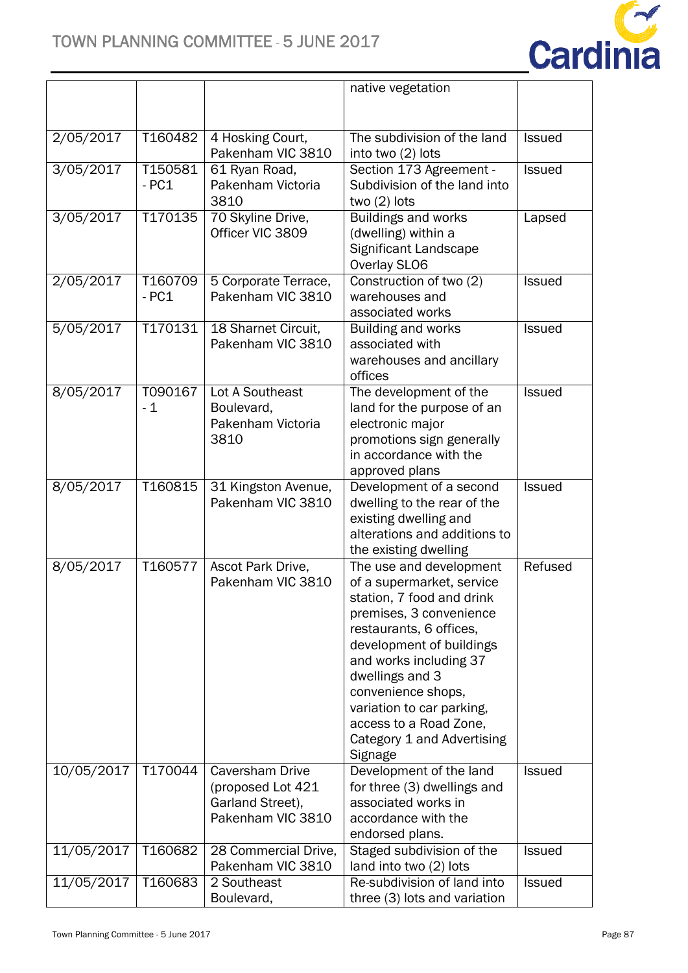

|            |         |                                          | native vegetation                                   |               |
|------------|---------|------------------------------------------|-----------------------------------------------------|---------------|
|            |         |                                          |                                                     |               |
|            |         |                                          |                                                     |               |
| 2/05/2017  | T160482 | 4 Hosking Court,                         | The subdivision of the land                         | <b>Issued</b> |
|            |         | Pakenham VIC 3810                        | into two (2) lots                                   |               |
| 3/05/2017  | T150581 | 61 Ryan Road,                            | Section 173 Agreement -                             | <b>Issued</b> |
|            | $-PC1$  | Pakenham Victoria                        | Subdivision of the land into                        |               |
|            |         | 3810                                     | two $(2)$ lots                                      |               |
| 3/05/2017  | T170135 | 70 Skyline Drive,                        | <b>Buildings and works</b>                          | Lapsed        |
|            |         | Officer VIC 3809                         | (dwelling) within a                                 |               |
|            |         |                                          | Significant Landscape                               |               |
|            |         |                                          | Overlay SLO6                                        |               |
| 2/05/2017  | T160709 | 5 Corporate Terrace,                     | Construction of two (2)                             | Issued        |
|            | $-PC1$  | Pakenham VIC 3810                        | warehouses and                                      |               |
|            |         |                                          | associated works                                    |               |
| 5/05/2017  | T170131 | 18 Sharnet Circuit,<br>Pakenham VIC 3810 | <b>Building and works</b><br>associated with        | <b>Issued</b> |
|            |         |                                          | warehouses and ancillary                            |               |
|            |         |                                          | offices                                             |               |
| 8/05/2017  | T090167 | Lot A Southeast                          | The development of the                              | <b>Issued</b> |
|            | $-1$    | Boulevard,                               | land for the purpose of an                          |               |
|            |         | Pakenham Victoria                        | electronic major                                    |               |
|            |         | 3810                                     | promotions sign generally                           |               |
|            |         |                                          | in accordance with the                              |               |
|            |         |                                          | approved plans                                      |               |
| 8/05/2017  | T160815 | 31 Kingston Avenue,                      | Development of a second                             | <b>Issued</b> |
|            |         | Pakenham VIC 3810                        | dwelling to the rear of the                         |               |
|            |         |                                          | existing dwelling and                               |               |
|            |         |                                          | alterations and additions to                        |               |
|            |         |                                          | the existing dwelling                               |               |
| 8/05/2017  | T160577 | Ascot Park Drive,                        | The use and development                             | Refused       |
|            |         | Pakenham VIC 3810                        | of a supermarket, service                           |               |
|            |         |                                          | station, 7 food and drink                           |               |
|            |         |                                          | premises, 3 convenience                             |               |
|            |         |                                          | restaurants, 6 offices,<br>development of buildings |               |
|            |         |                                          | and works including 37                              |               |
|            |         |                                          | dwellings and 3                                     |               |
|            |         |                                          | convenience shops,                                  |               |
|            |         |                                          | variation to car parking,                           |               |
|            |         |                                          | access to a Road Zone,                              |               |
|            |         |                                          | Category 1 and Advertising                          |               |
|            |         |                                          | Signage                                             |               |
| 10/05/2017 | T170044 | Caversham Drive                          | Development of the land                             | <b>Issued</b> |
|            |         | (proposed Lot 421                        | for three (3) dwellings and                         |               |
|            |         | Garland Street),                         | associated works in                                 |               |
|            |         | Pakenham VIC 3810                        | accordance with the                                 |               |
|            |         |                                          | endorsed plans.                                     |               |
| 11/05/2017 | T160682 | 28 Commercial Drive,                     | Staged subdivision of the                           | <b>Issued</b> |
|            |         | Pakenham VIC 3810                        | land into two (2) lots                              |               |
| 11/05/2017 | T160683 | 2 Southeast                              | Re-subdivision of land into                         | <b>Issued</b> |
|            |         | Boulevard,                               | three (3) lots and variation                        |               |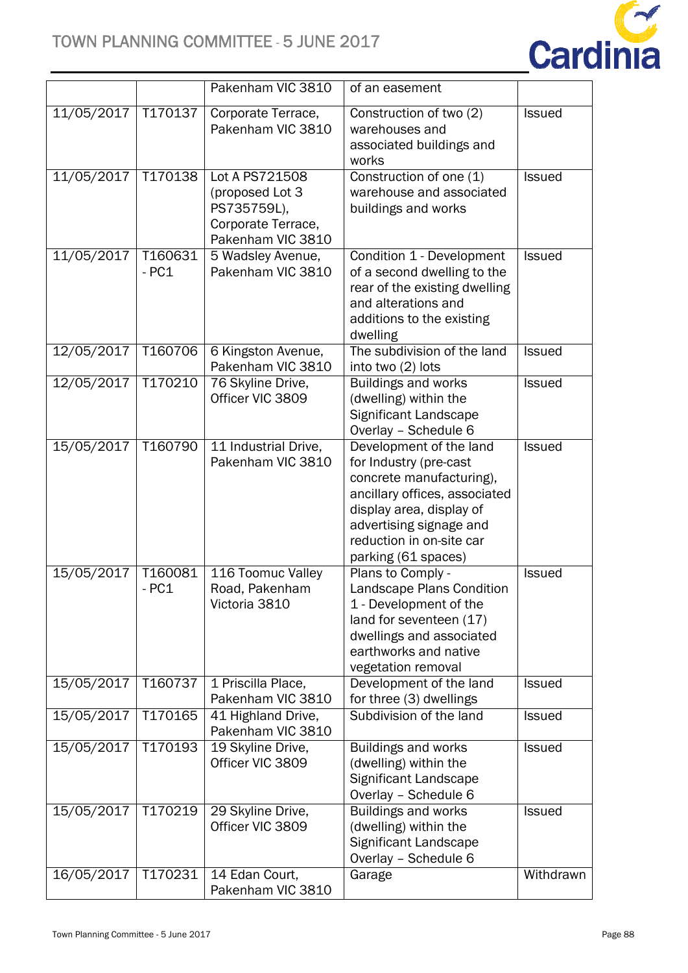

|            |                               | Pakenham VIC 3810                                                                           | of an easement                                                                                                                                                                                                           |               |
|------------|-------------------------------|---------------------------------------------------------------------------------------------|--------------------------------------------------------------------------------------------------------------------------------------------------------------------------------------------------------------------------|---------------|
| 11/05/2017 | T170137                       | Corporate Terrace,<br>Pakenham VIC 3810                                                     | Construction of two (2)<br>warehouses and<br>associated buildings and<br>works                                                                                                                                           | Issued        |
| 11/05/2017 | T170138                       | Lot A PS721508<br>(proposed Lot 3<br>PS735759L),<br>Corporate Terrace,<br>Pakenham VIC 3810 | Construction of one (1)<br>warehouse and associated<br>buildings and works                                                                                                                                               | <b>Issued</b> |
| 11/05/2017 | T <sub>160631</sub><br>$-PC1$ | 5 Wadsley Avenue,<br>Pakenham VIC 3810                                                      | Condition 1 - Development<br>of a second dwelling to the<br>rear of the existing dwelling<br>and alterations and<br>additions to the existing<br>dwelling                                                                | <b>Issued</b> |
| 12/05/2017 | T160706                       | 6 Kingston Avenue,<br>Pakenham VIC 3810                                                     | The subdivision of the land<br>into two (2) lots                                                                                                                                                                         | <b>Issued</b> |
| 12/05/2017 | T170210                       | 76 Skyline Drive,<br>Officer VIC 3809                                                       | <b>Buildings and works</b><br>(dwelling) within the<br>Significant Landscape<br>Overlay - Schedule 6                                                                                                                     | <b>Issued</b> |
| 15/05/2017 | T160790                       | 11 Industrial Drive,<br>Pakenham VIC 3810                                                   | Development of the land<br>for Industry (pre-cast<br>concrete manufacturing),<br>ancillary offices, associated<br>display area, display of<br>advertising signage and<br>reduction in on-site car<br>parking (61 spaces) | <b>Issued</b> |
| 15/05/2017 | T160081<br>$-PC1$             | 116 Toomuc Valley<br>Road, Pakenham<br>Victoria 3810                                        | Plans to Comply -<br>Landscape Plans Condition<br>1 - Development of the<br>land for seventeen (17)<br>dwellings and associated<br>earthworks and native<br>vegetation removal                                           | <b>Issued</b> |
| 15/05/2017 | T160737                       | 1 Priscilla Place,<br>Pakenham VIC 3810                                                     | Development of the land<br>for three (3) dwellings                                                                                                                                                                       | <b>Issued</b> |
| 15/05/2017 | T170165                       | 41 Highland Drive,<br>Pakenham VIC 3810                                                     | Subdivision of the land                                                                                                                                                                                                  | <b>Issued</b> |
| 15/05/2017 | T170193                       | 19 Skyline Drive,<br>Officer VIC 3809                                                       | <b>Buildings and works</b><br>(dwelling) within the<br>Significant Landscape<br>Overlay - Schedule 6                                                                                                                     | <b>Issued</b> |
| 15/05/2017 | T170219                       | 29 Skyline Drive,<br>Officer VIC 3809                                                       | Buildings and works<br>(dwelling) within the<br>Significant Landscape<br>Overlay - Schedule 6                                                                                                                            | <b>Issued</b> |
| 16/05/2017 | T170231                       | 14 Edan Court,<br>Pakenham VIC 3810                                                         | Garage                                                                                                                                                                                                                   | Withdrawn     |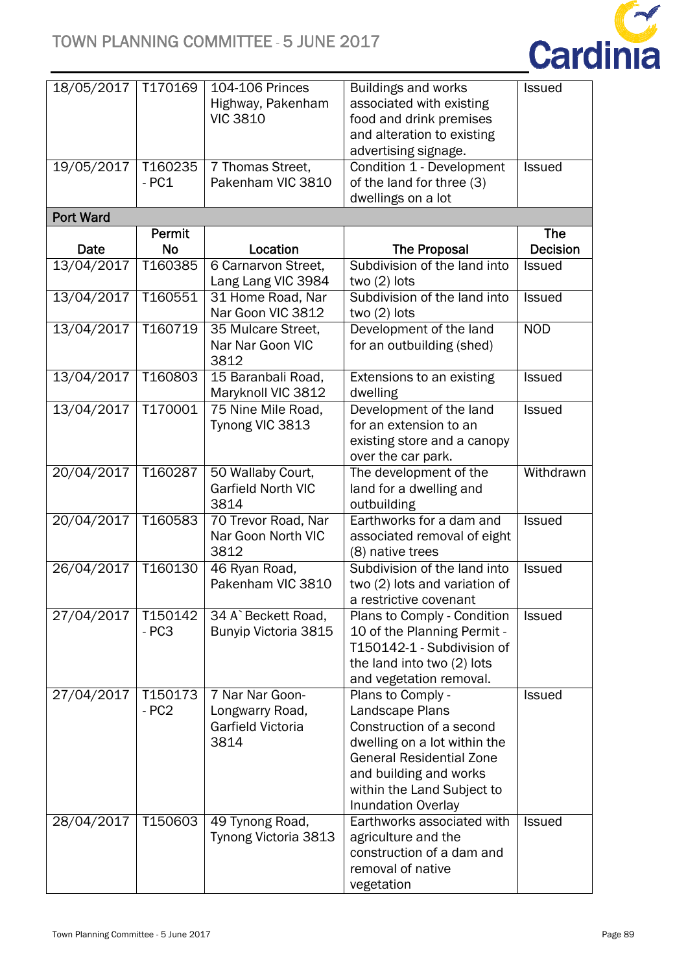

| 18/05/2017       | T170169   | 104-106 Princes<br>Highway, Pakenham | <b>Buildings and works</b><br>associated with existing | <b>Issued</b>   |
|------------------|-----------|--------------------------------------|--------------------------------------------------------|-----------------|
|                  |           | <b>VIC 3810</b>                      | food and drink premises                                |                 |
|                  |           |                                      | and alteration to existing                             |                 |
|                  |           |                                      | advertising signage.                                   |                 |
| 19/05/2017       | T160235   | 7 Thomas Street,                     | Condition 1 - Development                              | <b>Issued</b>   |
|                  | $-PC1$    | Pakenham VIC 3810                    | of the land for three (3)                              |                 |
|                  |           |                                      | dwellings on a lot                                     |                 |
| <b>Port Ward</b> |           |                                      |                                                        |                 |
|                  | Permit    |                                      |                                                        | <b>The</b>      |
| Date             | <b>No</b> | Location                             | <b>The Proposal</b>                                    | <b>Decision</b> |
| 13/04/2017       | T160385   | 6 Carnarvon Street,                  | Subdivision of the land into                           | <b>Issued</b>   |
|                  |           | Lang Lang VIC 3984                   | two $(2)$ lots                                         |                 |
| 13/04/2017       | T160551   | 31 Home Road, Nar                    | Subdivision of the land into                           | <b>Issued</b>   |
|                  |           | Nar Goon VIC 3812                    | two $(2)$ lots                                         |                 |
| 13/04/2017       | T160719   | 35 Mulcare Street,                   | Development of the land                                | <b>NOD</b>      |
|                  |           | Nar Nar Goon VIC                     | for an outbuilding (shed)                              |                 |
|                  |           | 3812                                 |                                                        |                 |
| 13/04/2017       | T160803   | 15 Baranbali Road,                   | Extensions to an existing                              | <b>Issued</b>   |
|                  |           | Maryknoll VIC 3812                   | dwelling                                               |                 |
| 13/04/2017       | T170001   | 75 Nine Mile Road,                   | Development of the land                                | <b>Issued</b>   |
|                  |           | Tynong VIC 3813                      | for an extension to an                                 |                 |
|                  |           |                                      | existing store and a canopy                            |                 |
|                  |           |                                      | over the car park.                                     |                 |
| 20/04/2017       | T160287   | 50 Wallaby Court,                    | The development of the                                 | Withdrawn       |
|                  |           | <b>Garfield North VIC</b>            | land for a dwelling and                                |                 |
|                  |           | 3814                                 | outbuilding                                            |                 |
| 20/04/2017       | T160583   | 70 Trevor Road, Nar                  | Earthworks for a dam and                               | <b>Issued</b>   |
|                  |           | Nar Goon North VIC                   | associated removal of eight                            |                 |
|                  |           | 3812                                 | (8) native trees                                       |                 |
| 26/04/2017       | T160130   | 46 Ryan Road,<br>Pakenham VIC 3810   | Subdivision of the land into                           | <b>Issued</b>   |
|                  |           |                                      | two (2) lots and variation of                          |                 |
| 27/04/2017       | T150142   | 34 A`Beckett Road,                   | a restrictive covenant<br>Plans to Comply - Condition  | <b>Issued</b>   |
|                  | $-PC3$    | Bunyip Victoria 3815                 | 10 of the Planning Permit -                            |                 |
|                  |           |                                      | T150142-1 - Subdivision of                             |                 |
|                  |           |                                      | the land into two (2) lots                             |                 |
|                  |           |                                      | and vegetation removal.                                |                 |
| 27/04/2017       | T150173   | 7 Nar Nar Goon-                      | Plans to Comply -                                      | <b>Issued</b>   |
|                  | $-PC2$    | Longwarry Road,                      | Landscape Plans                                        |                 |
|                  |           | Garfield Victoria                    | Construction of a second                               |                 |
|                  |           | 3814                                 | dwelling on a lot within the                           |                 |
|                  |           |                                      | <b>General Residential Zone</b>                        |                 |
|                  |           |                                      | and building and works                                 |                 |
|                  |           |                                      | within the Land Subject to                             |                 |
|                  |           |                                      | <b>Inundation Overlay</b>                              |                 |
| 28/04/2017       | T150603   | 49 Tynong Road,                      | Earthworks associated with                             | <b>Issued</b>   |
|                  |           | Tynong Victoria 3813                 | agriculture and the                                    |                 |
|                  |           |                                      | construction of a dam and                              |                 |
|                  |           |                                      | removal of native                                      |                 |
|                  |           |                                      | vegetation                                             |                 |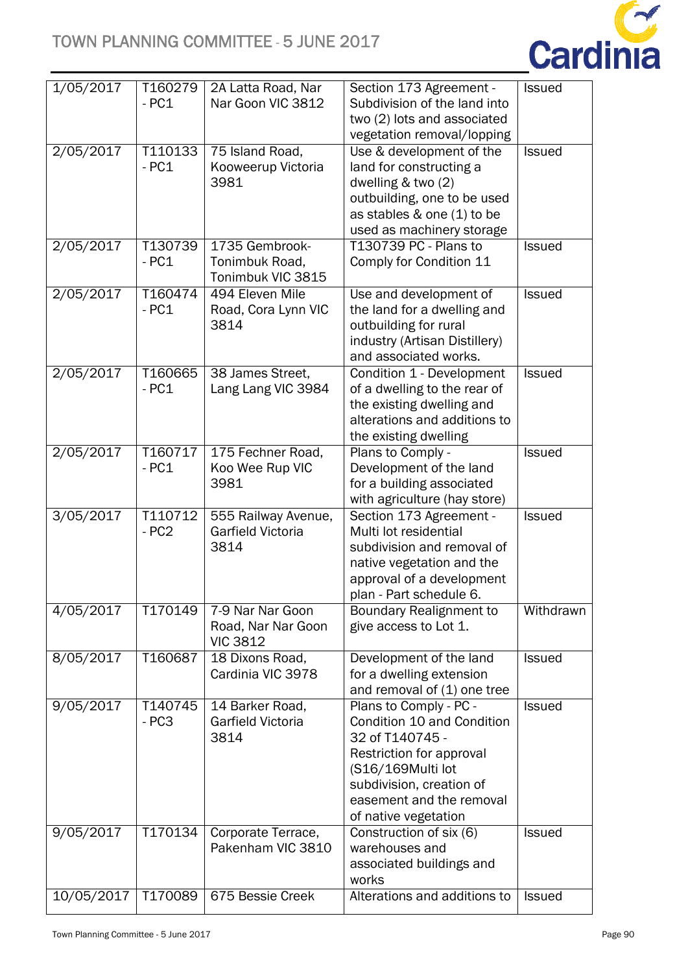

| 1/05/2017  | T160279<br>$-PC1$ | 2A Latta Road, Nar<br>Nar Goon VIC 3812                   | Section 173 Agreement -<br>Subdivision of the land into<br>two (2) lots and associated<br>vegetation removal/lopping                                                                                     | <b>Issued</b> |
|------------|-------------------|-----------------------------------------------------------|----------------------------------------------------------------------------------------------------------------------------------------------------------------------------------------------------------|---------------|
| 2/05/2017  | T110133<br>$-PC1$ | 75 Island Road,<br>Kooweerup Victoria<br>3981             | Use & development of the<br>land for constructing a<br>dwelling & two (2)<br>outbuilding, one to be used<br>as stables & one (1) to be<br>used as machinery storage                                      | <b>Issued</b> |
| 2/05/2017  | T130739<br>$-PC1$ | 1735 Gembrook-<br>Tonimbuk Road,<br>Tonimbuk VIC 3815     | T130739 PC - Plans to<br>Comply for Condition 11                                                                                                                                                         | <b>Issued</b> |
| 2/05/2017  | T160474<br>$-PC1$ | 494 Eleven Mile<br>Road, Cora Lynn VIC<br>3814            | Use and development of<br>the land for a dwelling and<br>outbuilding for rural<br>industry (Artisan Distillery)<br>and associated works.                                                                 | <b>Issued</b> |
| 2/05/2017  | T160665<br>$-PC1$ | 38 James Street,<br>Lang Lang VIC 3984                    | Condition 1 - Development<br>of a dwelling to the rear of<br>the existing dwelling and<br>alterations and additions to<br>the existing dwelling                                                          | <b>Issued</b> |
| 2/05/2017  | T160717<br>$-PC1$ | 175 Fechner Road,<br>Koo Wee Rup VIC<br>3981              | Plans to Comply -<br>Development of the land<br>for a building associated<br>with agriculture (hay store)                                                                                                | <b>Issued</b> |
| 3/05/2017  | T110712<br>$-PC2$ | 555 Railway Avenue,<br>Garfield Victoria<br>3814          | Section 173 Agreement -<br>Multi lot residential<br>subdivision and removal of<br>native vegetation and the<br>approval of a development<br>plan - Part schedule 6.                                      | <b>Issued</b> |
| 4/05/2017  | T170149           | 7-9 Nar Nar Goon<br>Road, Nar Nar Goon<br><b>VIC 3812</b> | Boundary Realignment to<br>give access to Lot 1.                                                                                                                                                         | Withdrawn     |
| 8/05/2017  | T160687           | 18 Dixons Road,<br>Cardinia VIC 3978                      | Development of the land<br>for a dwelling extension<br>and removal of (1) one tree                                                                                                                       | <b>Issued</b> |
| 9/05/2017  | T140745<br>$-PC3$ | 14 Barker Road,<br>Garfield Victoria<br>3814              | Plans to Comply - PC -<br>Condition 10 and Condition<br>32 of T140745 -<br>Restriction for approval<br>(S16/169Multi lot<br>subdivision, creation of<br>easement and the removal<br>of native vegetation | <b>Issued</b> |
| 9/05/2017  | T170134           | Corporate Terrace,<br>Pakenham VIC 3810                   | Construction of six (6)<br>warehouses and<br>associated buildings and<br>works                                                                                                                           | <b>Issued</b> |
| 10/05/2017 | T170089           | 675 Bessie Creek                                          | Alterations and additions to                                                                                                                                                                             | <b>Issued</b> |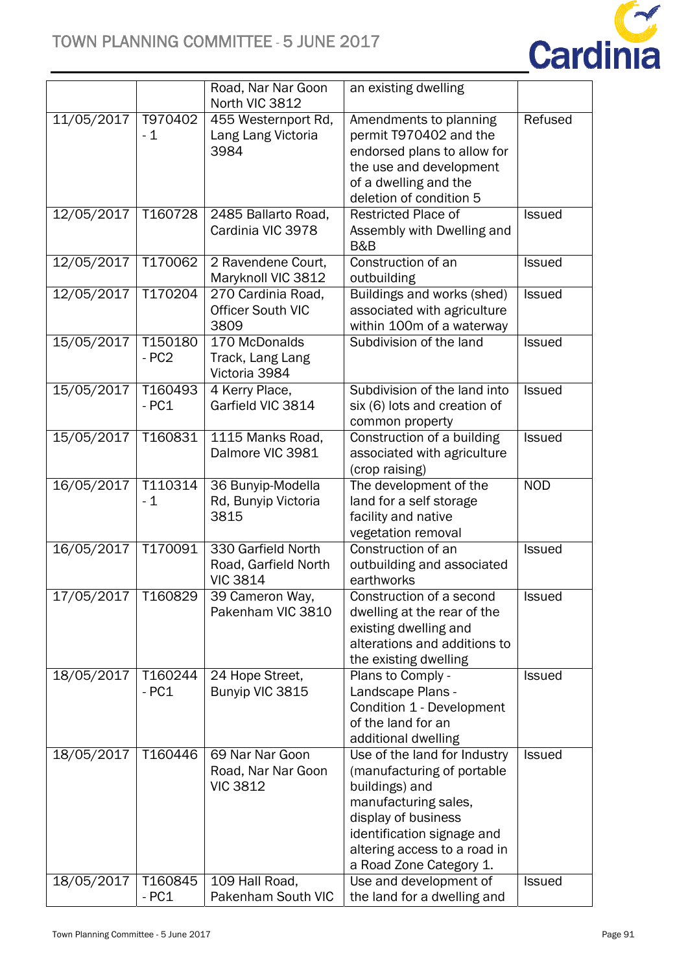

|                      |                      | Road, Nar Nar Goon<br>North VIC 3812                          | an existing dwelling                                                                                                                                                                                                 |               |
|----------------------|----------------------|---------------------------------------------------------------|----------------------------------------------------------------------------------------------------------------------------------------------------------------------------------------------------------------------|---------------|
| 11/05/2017           | T970402<br>- 1       | 455 Westernport Rd,<br>Lang Lang Victoria<br>3984             | Amendments to planning<br>permit T970402 and the<br>endorsed plans to allow for<br>the use and development<br>of a dwelling and the<br>deletion of condition 5                                                       | Refused       |
| 12/05/2017           | T <sub>1607</sub> 28 | 2485 Ballarto Road,<br>Cardinia VIC 3978                      | <b>Restricted Place of</b><br>Assembly with Dwelling and<br>B&B                                                                                                                                                      | <b>Issued</b> |
| 12/05/2017           | T170062              | 2 Ravendene Court,<br>Maryknoll VIC 3812                      | Construction of an<br>outbuilding                                                                                                                                                                                    | <b>Issued</b> |
| 12/05/2017           | T170204              | 270 Cardinia Road,<br><b>Officer South VIC</b><br>3809        | Buildings and works (shed)<br>associated with agriculture<br>within 100m of a waterway                                                                                                                               | Issued        |
| 15/05/2017           | T150180<br>$-PC2$    | 170 McDonalds<br>Track, Lang Lang<br>Victoria 3984            | Subdivision of the land                                                                                                                                                                                              | Issued        |
| 15/05/2017           | T160493<br>$-PC1$    | 4 Kerry Place,<br>Garfield VIC 3814                           | Subdivision of the land into<br>six (6) lots and creation of<br>common property                                                                                                                                      | <b>Issued</b> |
| 15/05/2017           | T160831              | 1115 Manks Road,<br>Dalmore VIC 3981                          | Construction of a building<br>associated with agriculture<br>(crop raising)                                                                                                                                          | <b>Issued</b> |
| 16/05/2017           | T110314<br>$-1$      | 36 Bunyip-Modella<br>Rd, Bunyip Victoria<br>3815              | The development of the<br>land for a self storage<br>facility and native<br>vegetation removal                                                                                                                       | <b>NOD</b>    |
| 16/05/2017           | T170091              | 330 Garfield North<br>Road, Garfield North<br><b>VIC 3814</b> | Construction of an<br>outbuilding and associated<br>earthworks                                                                                                                                                       | <b>Issued</b> |
| 17/05/2017   T160829 |                      | 39 Cameron Way,<br>Pakenham VIC 3810                          | Construction of a second<br>dwelling at the rear of the<br>existing dwelling and<br>alterations and additions to<br>the existing dwelling                                                                            | <b>Issued</b> |
| 18/05/2017           | T160244<br>$-PC1$    | 24 Hope Street,<br>Bunyip VIC 3815                            | Plans to Comply -<br>Landscape Plans -<br>Condition 1 - Development<br>of the land for an<br>additional dwelling                                                                                                     | <b>Issued</b> |
| 18/05/2017           | T160446              | 69 Nar Nar Goon<br>Road, Nar Nar Goon<br><b>VIC 3812</b>      | Use of the land for Industry<br>(manufacturing of portable<br>buildings) and<br>manufacturing sales,<br>display of business<br>identification signage and<br>altering access to a road in<br>a Road Zone Category 1. | <b>Issued</b> |
| 18/05/2017           | T160845<br>$-PC1$    | 109 Hall Road,<br>Pakenham South VIC                          | Use and development of<br>the land for a dwelling and                                                                                                                                                                | <b>Issued</b> |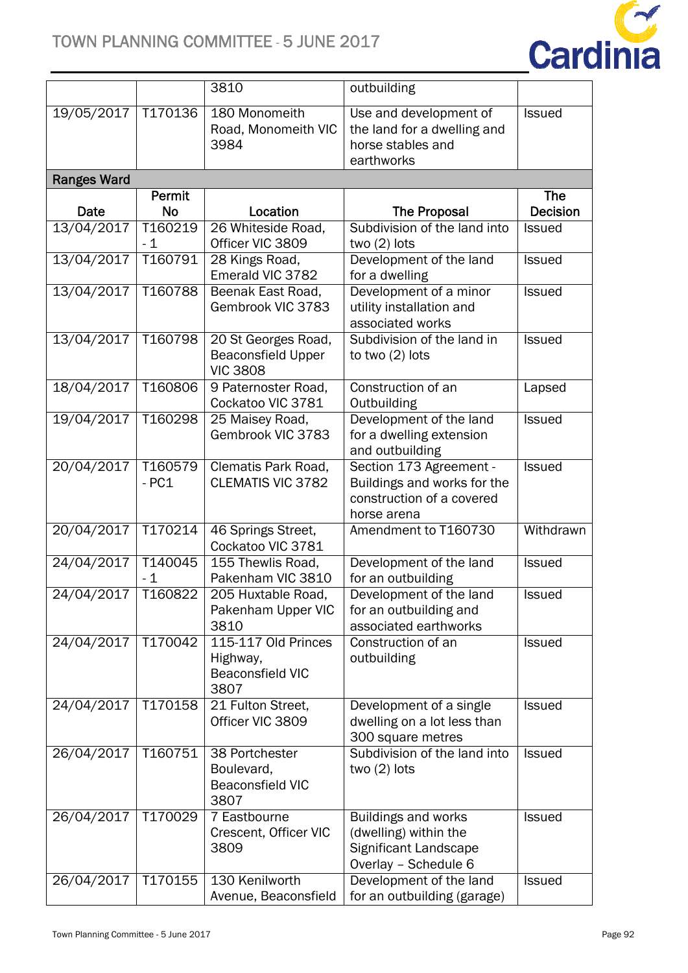

|                    |                      | 3810                                                                | outbuilding                                                                                          |                                  |
|--------------------|----------------------|---------------------------------------------------------------------|------------------------------------------------------------------------------------------------------|----------------------------------|
| 19/05/2017         | T170136              | 180 Monomeith<br>Road, Monomeith VIC<br>3984                        | Use and development of<br>the land for a dwelling and<br>horse stables and<br>earthworks             | <b>Issued</b>                    |
| <b>Ranges Ward</b> |                      |                                                                     |                                                                                                      |                                  |
|                    | Permit               |                                                                     |                                                                                                      | <b>The</b>                       |
| Date<br>13/04/2017 | <b>No</b><br>T160219 | Location<br>26 Whiteside Road,                                      | <b>The Proposal</b><br>Subdivision of the land into                                                  | <b>Decision</b><br><b>Issued</b> |
|                    | $-1$                 | Officer VIC 3809                                                    | two $(2)$ lots                                                                                       |                                  |
| 13/04/2017         | T160791              | 28 Kings Road,<br>Emerald VIC 3782                                  | Development of the land<br>for a dwelling                                                            | Issued                           |
| 13/04/2017         | T160788              | Beenak East Road,<br>Gembrook VIC 3783                              | Development of a minor<br>utility installation and<br>associated works                               | Issued                           |
| 13/04/2017         | T160798              | 20 St Georges Road,<br><b>Beaconsfield Upper</b><br><b>VIC 3808</b> | Subdivision of the land in<br>to two (2) lots                                                        | Issued                           |
| 18/04/2017         | T160806              | 9 Paternoster Road,<br>Cockatoo VIC 3781                            | Construction of an<br>Outbuilding                                                                    | Lapsed                           |
| 19/04/2017         | T160298              | 25 Maisey Road,<br>Gembrook VIC 3783                                | Development of the land<br>for a dwelling extension<br>and outbuilding                               | Issued                           |
| 20/04/2017         | T160579<br>$-PC1$    | Clematis Park Road,<br><b>CLEMATIS VIC 3782</b>                     | Section 173 Agreement -<br>Buildings and works for the<br>construction of a covered<br>horse arena   | Issued                           |
| 20/04/2017         | T170214              | 46 Springs Street,<br>Cockatoo VIC 3781                             | Amendment to T160730                                                                                 | Withdrawn                        |
| 24/04/2017         | T140045<br>$-1$      | 155 Thewlis Road,<br>Pakenham VIC 3810                              | Development of the land<br>for an outbuilding                                                        | <b>Issued</b>                    |
| 24/04/2017         | T160822              | 205 Huxtable Road,<br>Pakenham Upper VIC<br>3810                    | Development of the land<br>for an outbuilding and<br>associated earthworks                           | Issued                           |
| 24/04/2017         | T170042              | 115-117 Old Princes<br>Highway,<br><b>Beaconsfield VIC</b><br>3807  | Construction of an<br>outbuilding                                                                    | <b>Issued</b>                    |
| 24/04/2017         | T170158              | 21 Fulton Street,<br>Officer VIC 3809                               | Development of a single<br>dwelling on a lot less than<br>300 square metres                          | <b>Issued</b>                    |
| 26/04/2017         | T160751              | 38 Portchester<br>Boulevard,<br><b>Beaconsfield VIC</b><br>3807     | Subdivision of the land into<br>two $(2)$ lots                                                       | <b>Issued</b>                    |
| 26/04/2017         | T170029              | 7 Eastbourne<br>Crescent, Officer VIC<br>3809                       | <b>Buildings and works</b><br>(dwelling) within the<br>Significant Landscape<br>Overlay - Schedule 6 | <b>Issued</b>                    |
| 26/04/2017         | T170155              | 130 Kenilworth<br>Avenue, Beaconsfield                              | Development of the land<br>for an outbuilding (garage)                                               | <b>Issued</b>                    |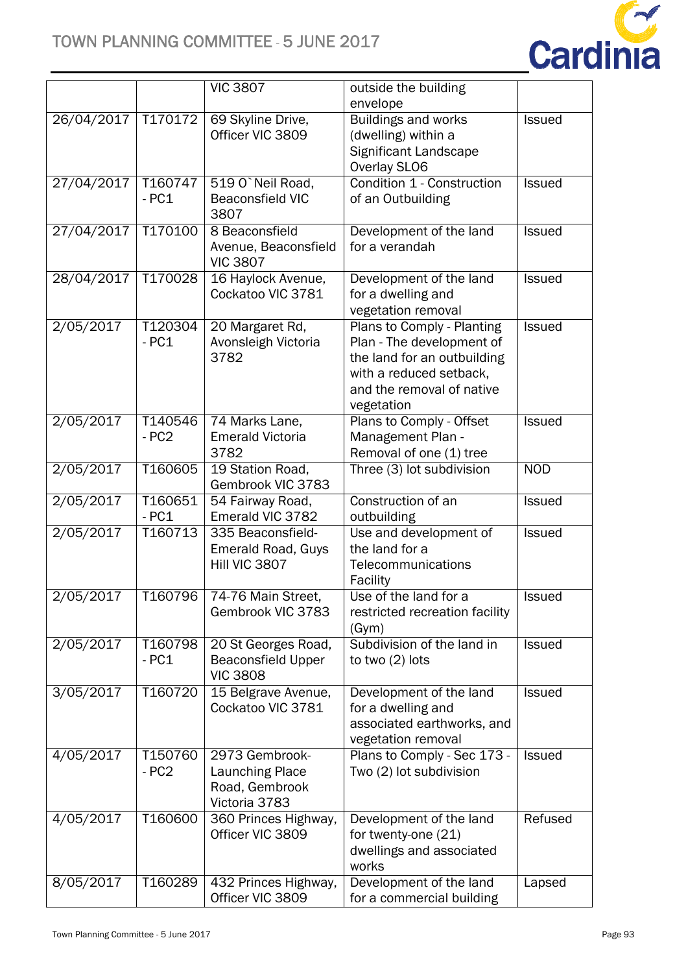

|            |                     | <b>VIC 3807</b>                                                             | outside the building<br>envelope                                                                                                                             |               |
|------------|---------------------|-----------------------------------------------------------------------------|--------------------------------------------------------------------------------------------------------------------------------------------------------------|---------------|
| 26/04/2017 | T170172             | 69 Skyline Drive,<br>Officer VIC 3809                                       | <b>Buildings and works</b><br>(dwelling) within a<br>Significant Landscape<br>Overlay SLO6                                                                   | <b>Issued</b> |
| 27/04/2017 | T160747<br>$-PC1$   | 519 O'Neil Road,<br><b>Beaconsfield VIC</b><br>3807                         | Condition 1 - Construction<br>of an Outbuilding                                                                                                              | <b>Issued</b> |
| 27/04/2017 | T170100             | 8 Beaconsfield<br>Avenue, Beaconsfield<br><b>VIC 3807</b>                   | Development of the land<br>for a verandah                                                                                                                    | <b>Issued</b> |
| 28/04/2017 | T170028             | 16 Haylock Avenue,<br>Cockatoo VIC 3781                                     | Development of the land<br>for a dwelling and<br>vegetation removal                                                                                          | <b>Issued</b> |
| 2/05/2017  | T120304<br>$-PC1$   | 20 Margaret Rd,<br>Avonsleigh Victoria<br>3782                              | Plans to Comply - Planting<br>Plan - The development of<br>the land for an outbuilding<br>with a reduced setback.<br>and the removal of native<br>vegetation | <b>Issued</b> |
| 2/05/2017  | T140546<br>$-PC2$   | 74 Marks Lane,<br><b>Emerald Victoria</b><br>3782                           | Plans to Comply - Offset<br>Management Plan -<br>Removal of one (1) tree                                                                                     | Issued        |
| 2/05/2017  | T160605             | 19 Station Road,<br>Gembrook VIC 3783                                       | Three (3) lot subdivision                                                                                                                                    | <b>NOD</b>    |
| 2/05/2017  | T160651<br>$-PC1$   | 54 Fairway Road,<br>Emerald VIC 3782                                        | Construction of an<br>outbuilding                                                                                                                            | Issued        |
| 2/05/2017  | T <sub>160713</sub> | 335 Beaconsfield-<br><b>Emerald Road, Guys</b><br>Hill VIC 3807             | Use and development of<br>the land for a<br>Telecommunications<br>Facility                                                                                   | <b>Issued</b> |
| 2/05/2017  |                     | T160796 74-76 Main Street,<br>Gembrook VIC 3783                             | Use of the land for a<br>restricted recreation facility<br>(Gym)                                                                                             | <b>ISSUED</b> |
| 2/05/2017  | T160798<br>$-PC1$   | 20 St Georges Road,<br><b>Beaconsfield Upper</b><br><b>VIC 3808</b>         | Subdivision of the land in<br>to two (2) lots                                                                                                                | <b>Issued</b> |
| 3/05/2017  | T160720             | 15 Belgrave Avenue,<br>Cockatoo VIC 3781                                    | Development of the land<br>for a dwelling and<br>associated earthworks, and<br>vegetation removal                                                            | <b>Issued</b> |
| 4/05/2017  | T150760<br>$-PC2$   | 2973 Gembrook-<br><b>Launching Place</b><br>Road, Gembrook<br>Victoria 3783 | Plans to Comply - Sec 173 -<br>Two (2) lot subdivision                                                                                                       | Issued        |
| 4/05/2017  | T160600             | 360 Princes Highway,<br>Officer VIC 3809                                    | Development of the land<br>for twenty-one (21)<br>dwellings and associated<br>works                                                                          | Refused       |
| 8/05/2017  | T160289             | 432 Princes Highway,<br>Officer VIC 3809                                    | Development of the land<br>for a commercial building                                                                                                         | Lapsed        |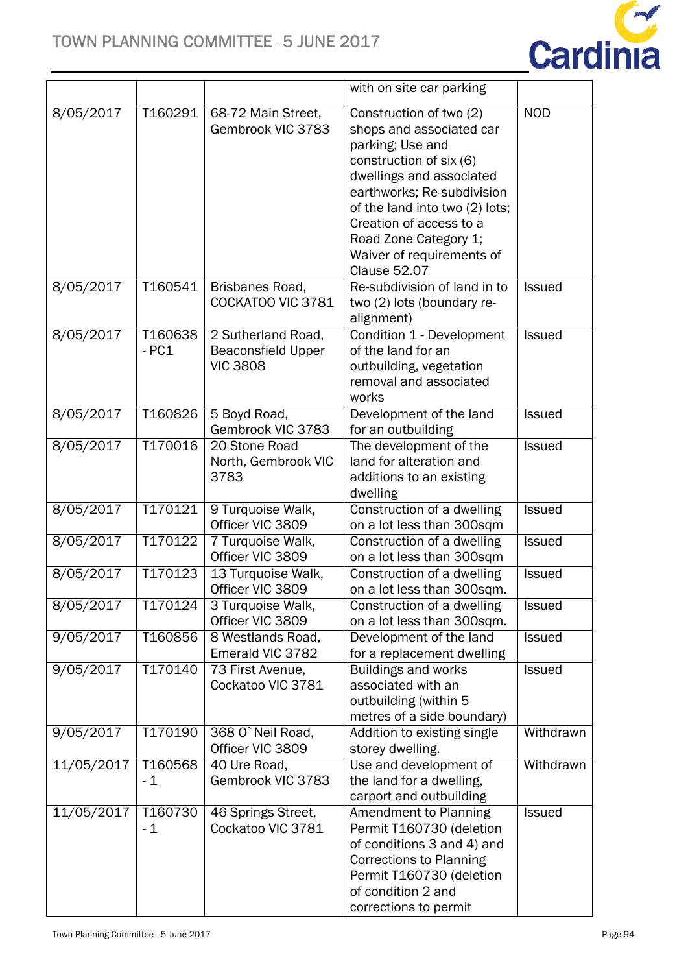# TOWN PLANNING COMMITTEE - 5 JUNE 2017



|            |                   |                                                                    | with on site car parking                                                                                                                                                                                                                                                                               |               |
|------------|-------------------|--------------------------------------------------------------------|--------------------------------------------------------------------------------------------------------------------------------------------------------------------------------------------------------------------------------------------------------------------------------------------------------|---------------|
| 8/05/2017  | T160291           | 68-72 Main Street,<br>Gembrook VIC 3783                            | Construction of two (2)<br>shops and associated car<br>parking; Use and<br>construction of six (6)<br>dwellings and associated<br>earthworks; Re-subdivision<br>of the land into two (2) lots;<br>Creation of access to a<br>Road Zone Category 1;<br>Waiver of requirements of<br><b>Clause 52.07</b> | <b>NOD</b>    |
| 8/05/2017  | T160541           | Brisbanes Road,<br>COCKATOO VIC 3781                               | Re-subdivision of land in to<br>two (2) lots (boundary re-<br>alignment)                                                                                                                                                                                                                               | <b>Issued</b> |
| 8/05/2017  | T160638<br>$-PC1$ | 2 Sutherland Road,<br><b>Beaconsfield Upper</b><br><b>VIC 3808</b> | Condition 1 - Development<br>of the land for an<br>outbuilding, vegetation<br>removal and associated<br>works                                                                                                                                                                                          | Issued        |
| 8/05/2017  | T160826           | 5 Boyd Road,<br>Gembrook VIC 3783                                  | Development of the land<br>for an outbuilding                                                                                                                                                                                                                                                          | <b>Issued</b> |
| 8/05/2017  | T170016           | 20 Stone Road<br>North, Gembrook VIC<br>3783                       | The development of the<br>land for alteration and<br>additions to an existing<br>dwelling                                                                                                                                                                                                              | Issued        |
| 8/05/2017  | T170121           | 9 Turquoise Walk,<br>Officer VIC 3809                              | Construction of a dwelling<br>on a lot less than 300sqm                                                                                                                                                                                                                                                | Issued        |
| 8/05/2017  | T170122           | 7 Turquoise Walk,<br>Officer VIC 3809                              | Construction of a dwelling<br>on a lot less than 300sqm                                                                                                                                                                                                                                                | <b>Issued</b> |
| 8/05/2017  | T170123           | 13 Turquoise Walk,<br>Officer VIC 3809                             | Construction of a dwelling<br>on a lot less than 300sqm.                                                                                                                                                                                                                                               | Issued        |
| 8/05/2017  | T170124           | 3 Turquoise Walk,<br>Officer VIC 3809                              | Construction of a dwelling<br>on a lot less than 300sqm.                                                                                                                                                                                                                                               | <b>Issued</b> |
| 9/05/2017  | T160856           | 8 Westlands Road,<br>Emerald VIC 3782                              | Development of the land<br>for a replacement dwelling                                                                                                                                                                                                                                                  | <b>Issued</b> |
| 9/05/2017  | T170140           | 73 First Avenue,<br>Cockatoo VIC 3781                              | <b>Buildings and works</b><br>associated with an<br>outbuilding (within 5<br>metres of a side boundary)                                                                                                                                                                                                | <b>Issued</b> |
| 9/05/2017  | T170190           | 368 O`Neil Road,<br>Officer VIC 3809                               | Addition to existing single<br>storey dwelling.                                                                                                                                                                                                                                                        | Withdrawn     |
| 11/05/2017 | T160568<br>$-1$   | 40 Ure Road,<br>Gembrook VIC 3783                                  | Use and development of<br>the land for a dwelling,<br>carport and outbuilding                                                                                                                                                                                                                          | Withdrawn     |
| 11/05/2017 | T160730<br>$-1$   | 46 Springs Street,<br>Cockatoo VIC 3781                            | Amendment to Planning<br>Permit T160730 (deletion<br>of conditions 3 and 4) and<br><b>Corrections to Planning</b><br>Permit T160730 (deletion<br>of condition 2 and<br>corrections to permit                                                                                                           | <b>Issued</b> |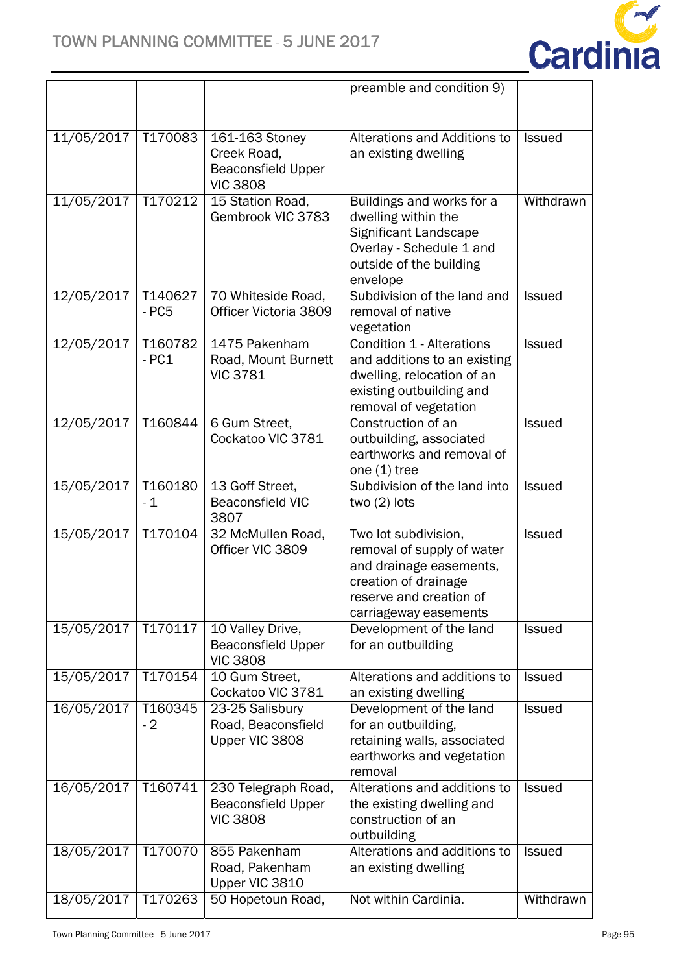

|            |                   |                                                                               | preamble and condition 9)                                                                                                                                 |               |
|------------|-------------------|-------------------------------------------------------------------------------|-----------------------------------------------------------------------------------------------------------------------------------------------------------|---------------|
|            |                   |                                                                               |                                                                                                                                                           |               |
| 11/05/2017 | T170083           | 161-163 Stoney<br>Creek Road,<br><b>Beaconsfield Upper</b><br><b>VIC 3808</b> | Alterations and Additions to<br>an existing dwelling                                                                                                      | <b>Issued</b> |
| 11/05/2017 | T170212           | 15 Station Road,<br>Gembrook VIC 3783                                         | Buildings and works for a<br>dwelling within the<br>Significant Landscape<br>Overlay - Schedule 1 and<br>outside of the building<br>envelope              | Withdrawn     |
| 12/05/2017 | T140627<br>$-PC5$ | 70 Whiteside Road,<br>Officer Victoria 3809                                   | Subdivision of the land and<br>removal of native<br>vegetation                                                                                            | <b>Issued</b> |
| 12/05/2017 | T160782<br>$-PC1$ | 1475 Pakenham<br>Road, Mount Burnett<br><b>VIC 3781</b>                       | Condition 1 - Alterations<br>and additions to an existing<br>dwelling, relocation of an<br>existing outbuilding and<br>removal of vegetation              | <b>Issued</b> |
| 12/05/2017 | T160844           | 6 Gum Street,<br>Cockatoo VIC 3781                                            | Construction of an<br>outbuilding, associated<br>earthworks and removal of<br>one $(1)$ tree                                                              | <b>Issued</b> |
| 15/05/2017 | T160180<br>$-1$   | 13 Goff Street,<br><b>Beaconsfield VIC</b><br>3807                            | Subdivision of the land into<br>two $(2)$ lots                                                                                                            | Is sued       |
| 15/05/2017 | T170104           | 32 McMullen Road,<br>Officer VIC 3809                                         | Two lot subdivision,<br>removal of supply of water<br>and drainage easements,<br>creation of drainage<br>reserve and creation of<br>carriageway easements | <b>Issued</b> |
| 15/05/2017 | T170117           | 10 Valley Drive,<br><b>Beaconsfield Upper</b><br><b>VIC 3808</b>              | Development of the land<br>for an outbuilding                                                                                                             | <b>Issued</b> |
| 15/05/2017 | T170154           | 10 Gum Street,<br>Cockatoo VIC 3781                                           | Alterations and additions to<br>an existing dwelling                                                                                                      | <b>Issued</b> |
| 16/05/2017 | T160345<br>$-2$   | 23-25 Salisbury<br>Road, Beaconsfield<br>Upper VIC 3808                       | Development of the land<br>for an outbuilding,<br>retaining walls, associated<br>earthworks and vegetation<br>removal                                     | <b>Issued</b> |
| 16/05/2017 | T160741           | 230 Telegraph Road,<br><b>Beaconsfield Upper</b><br><b>VIC 3808</b>           | Alterations and additions to<br>the existing dwelling and<br>construction of an<br>outbuilding                                                            | <b>Issued</b> |
| 18/05/2017 | T170070           | 855 Pakenham<br>Road, Pakenham<br>Upper VIC 3810                              | Alterations and additions to<br>an existing dwelling                                                                                                      | <b>Issued</b> |
| 18/05/2017 | T170263           | 50 Hopetoun Road,                                                             | Not within Cardinia.                                                                                                                                      | Withdrawn     |